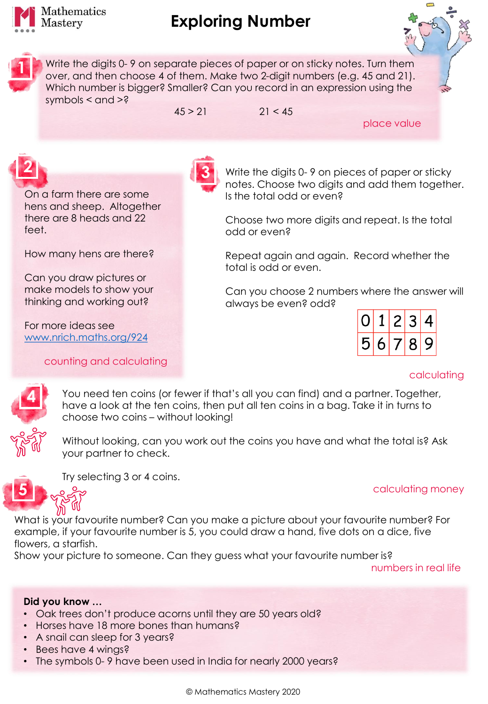

**1**

## **Exploring Number**

Write the digits 0- 9 on separate pieces of paper or on sticky notes. Turn them over, and then choose 4 of them. Make two 2-digit numbers (e.g. 45 and 21). Which number is bigger? Smaller? Can you record in an expression using the symbols  $<$  and  $>$ ?

 $45 > 21$  21 < 45

place value

On a farm there are some hens and sheep. Altogether there are 8 heads and 22 feet.

How many hens are there?

Can you draw pictures or make models to show your thinking and working out?

For more ideas see [www.nrich.maths.org/924](http://www.nrich.maths.org/924)

counting and calculating



Write the digits 0- 9 on pieces of paper or sticky notes. Choose two digits and add them together. Is the total odd or even?

Choose two more digits and repeat. Is the total odd or even?

Repeat again and again. Record whether the total is odd or even.

Can you choose 2 numbers where the answer will always be even? odd?

| $\boxed{0}$ 1 2 3 4 |  |  |
|---------------------|--|--|
| 56789               |  |  |

## calculating

**4**

**5**

Without looking, can you work out the coins you have and what the total is? Ask your partner to check.

You need ten coins (or fewer if that's all you can find) and a partner. Together, have a look at the ten coins, then put all ten coins in a bag. Take it in turns to

Try selecting 3 or 4 coins.

choose two coins – without looking!

calculating money

What is your favourite number? Can you make a picture about your favourite number? For example, if your favourite number is 5, you could draw a hand, five dots on a dice, five flowers, a starfish.

Show your picture to someone. Can they guess what your favourite number is?

numbers in real life

## **Did you know …**

- Oak trees don't produce acorns until they are 50 years old?
- Horses have 18 more bones than humans?
- A snail can sleep for 3 years?
- Bees have 4 wings?
- The symbols 0- 9 have been used in India for nearly 2000 years?